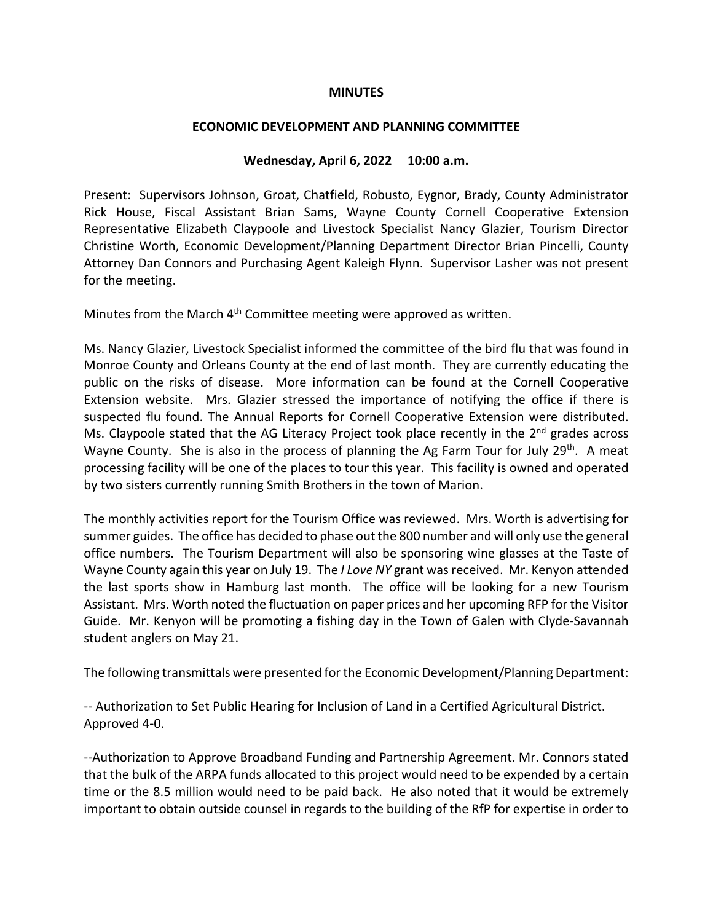## **MINUTES**

## **ECONOMIC DEVELOPMENT AND PLANNING COMMITTEE**

## **Wednesday, April 6, 2022 10:00 a.m.**

Present: Supervisors Johnson, Groat, Chatfield, Robusto, Eygnor, Brady, County Administrator Rick House, Fiscal Assistant Brian Sams, Wayne County Cornell Cooperative Extension Representative Elizabeth Claypoole and Livestock Specialist Nancy Glazier, Tourism Director Christine Worth, Economic Development/Planning Department Director Brian Pincelli, County Attorney Dan Connors and Purchasing Agent Kaleigh Flynn. Supervisor Lasher was not present for the meeting.

Minutes from the March 4<sup>th</sup> Committee meeting were approved as written.

Ms. Nancy Glazier, Livestock Specialist informed the committee of the bird flu that was found in Monroe County and Orleans County at the end of last month. They are currently educating the public on the risks of disease. More information can be found at the Cornell Cooperative Extension website. Mrs. Glazier stressed the importance of notifying the office if there is suspected flu found. The Annual Reports for Cornell Cooperative Extension were distributed. Ms. Claypoole stated that the AG Literacy Project took place recently in the 2<sup>nd</sup> grades across Wayne County. She is also in the process of planning the Ag Farm Tour for July 29<sup>th</sup>. A meat processing facility will be one of the places to tour this year. This facility is owned and operated by two sisters currently running Smith Brothers in the town of Marion.

The monthly activities report for the Tourism Office was reviewed. Mrs. Worth is advertising for summer guides. The office has decided to phase out the 800 number and will only use the general office numbers. The Tourism Department will also be sponsoring wine glasses at the Taste of Wayne County again this year on July 19. The *I Love NY* grant was received. Mr. Kenyon attended the last sports show in Hamburg last month. The office will be looking for a new Tourism Assistant. Mrs. Worth noted the fluctuation on paper prices and her upcoming RFP for the Visitor Guide. Mr. Kenyon will be promoting a fishing day in the Town of Galen with Clyde-Savannah student anglers on May 21.

The following transmittals were presented for the Economic Development/Planning Department:

-- Authorization to Set Public Hearing for Inclusion of Land in a Certified Agricultural District. Approved 4-0.

--Authorization to Approve Broadband Funding and Partnership Agreement. Mr. Connors stated that the bulk of the ARPA funds allocated to this project would need to be expended by a certain time or the 8.5 million would need to be paid back. He also noted that it would be extremely important to obtain outside counsel in regards to the building of the RfP for expertise in order to